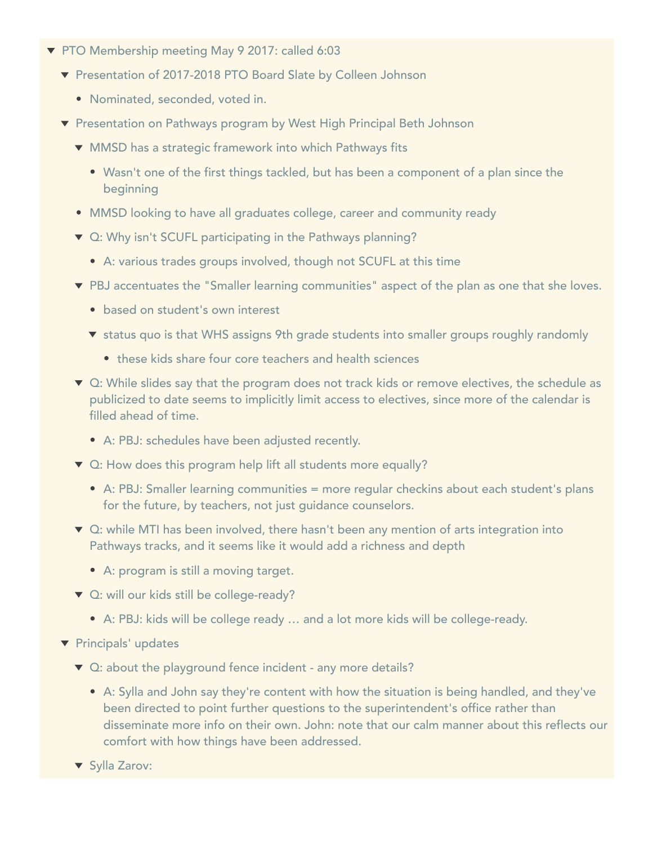- ▼ PTO Membership meeting May 9 2017: called 6:03
	- ▼ Presentation of 2017-2018 PTO Board Slate by Colleen Johnson
		- Nominated, seconded, voted in.
	- ▼ Presentation on Pathways program by West High Principal Beth Johnson
		- MMSD has a strategic framework into which Pathways fits
			- Wasn't one of the first things tackled, but has been a component of a plan since the beginning
		- MMSD looking to have all graduates college, career and community ready
		- ▼ Q: Why isn't SCUFL participating in the Pathways planning?
			- A: various trades groups involved, though not SCUFL at this time
		- PBJ accentuates the "Smaller learning communities" aspect of the plan as one that she loves.
			- based on student's own interest
			- **v** status quo is that WHS assigns 9th grade students into smaller groups roughly randomly
				- these kids share four core teachers and health sciences
		- ▼ Q: While slides say that the program does not track kids or remove electives, the schedule as publicized to date seems to implicitly limit access to electives, since more of the calendar is filled ahead of time.
			- A: PBJ: schedules have been adjusted recently.
		- ▼ Q: How does this program help lift all students more equally?
			- A: PBJ: Smaller learning communities = more regular checkins about each student's plans for the future, by teachers, not just guidance counselors.
		- ▼ Q: while MTI has been involved, there hasn't been any mention of arts integration into Pathways tracks, and it seems like it would add a richness and depth
			- A: program is still a moving target.
		- $\blacktriangledown$  Q: will our kids still be college-ready?
			- A: PBJ: kids will be college ready … and a lot more kids will be college-ready.
	- **T** Principals' updates
		- ▼ Q: about the playground fence incident any more details?
			- A: Sylla and John say they're content with how the situation is being handled, and they've been directed to point further questions to the superintendent's office rather than disseminate more info on their own. John: note that our calm manner about this reflects our comfort with how things have been addressed.
		- ▼ Sylla Zarov:
			-